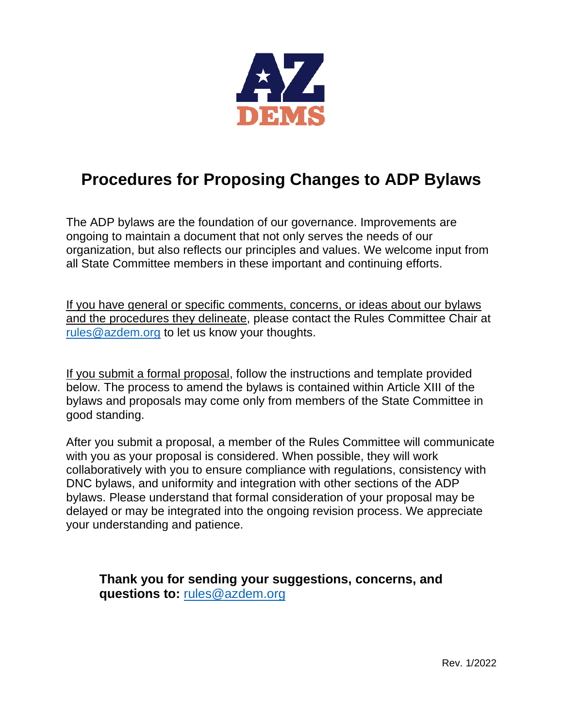

## **Procedures for Proposing Changes to ADP Bylaws**

The ADP bylaws are the foundation of our governance. Improvements are ongoing to maintain a document that not only serves the needs of our organization, but also reflects our principles and values. We welcome input from all State Committee members in these important and continuing efforts.

If you have general or specific comments, concerns, or ideas about our bylaws and the procedures they delineate, please contact the Rules Committee Chair at [rules@azdem.org](mailto:rules@azdem.org) to let us know your thoughts.

If you submit a formal proposal, follow the instructions and template provided below. The process to amend the bylaws is contained within Article XIII of the bylaws and proposals may come only from members of the State Committee in good standing.

After you submit a proposal, a member of the Rules Committee will communicate with you as your proposal is considered. When possible, they will work collaboratively with you to ensure compliance with regulations, consistency with DNC bylaws, and uniformity and integration with other sections of the ADP bylaws. Please understand that formal consideration of your proposal may be delayed or may be integrated into the ongoing revision process. We appreciate your understanding and patience.

**Thank you for sending your suggestions, concerns, and questions to:** [rules@azdem.org](mailto:rules@azdem.org)